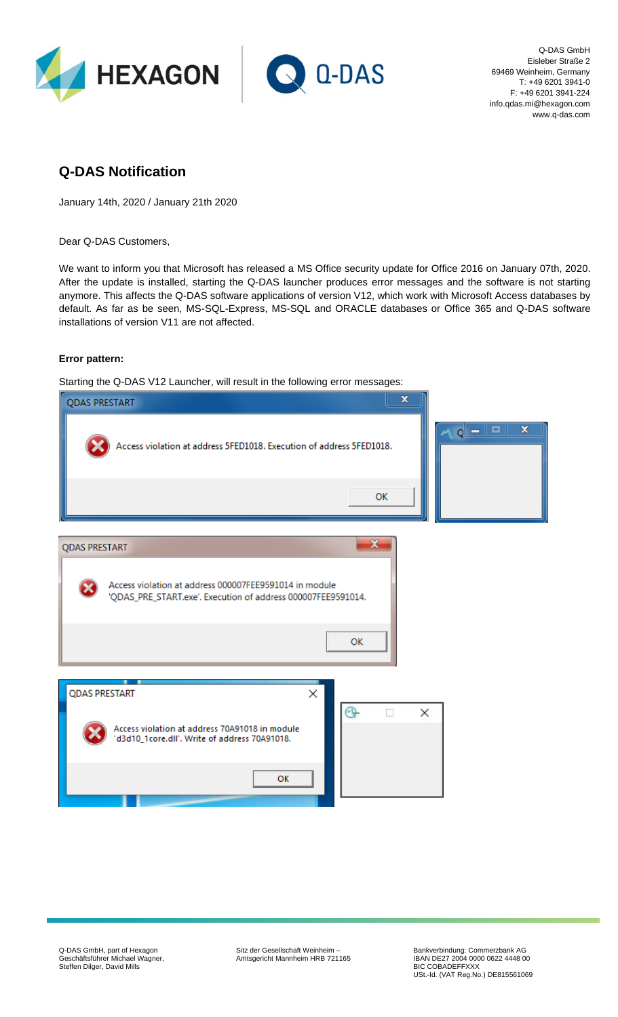



Q-DAS GmbH Eisleber Straße 2 69469 Weinheim, Germany T: +49 6201 3941-0 F: +49 6201 3941-224 info.qdas.mi@hexagon.com www.q-das.com

# **Q-DAS Notification**

January 14th, 2020 / January 21th 2020

Dear Q-DAS Customers,

We want to inform you that Microsoft has released a MS Office security update for Office 2016 on January 07th, 2020. After the update is installed, starting the Q-DAS launcher produces error messages and the software is not starting anymore. This affects the Q-DAS software applications of version V12, which work with Microsoft Access databases by default. As far as be seen, MS-SQL-Express, MS-SQL and ORACLE databases or Office 365 and Q-DAS software installations of version V11 are not affected.

### **Error pattern:**

Starting the Q-DAS V12 Launcher, will result in the following error messages:

| <b>QDAS PRESTART</b>                                                                                                                        | $\mathbf x$                                       |
|---------------------------------------------------------------------------------------------------------------------------------------------|---------------------------------------------------|
| Access violation at address 5FED1018. Execution of address 5FED1018.                                                                        | $\mathbf x$<br>□<br>$\overline{\phantom{a}}$<br>a |
|                                                                                                                                             | OK                                                |
| <b>QDAS PRESTART</b>                                                                                                                        | $\mathbf x$                                       |
| Access violation at address 000007FEE9591014 in module<br>'QDAS_PRE_START.exe'. Execution of address 000007FEE9591014.                      | OK                                                |
| <b>QDAS PRESTART</b><br>×<br>$\circledR$<br>Access violation at address 70A91018 in module<br>'d3d10_1core.dll'. Write of address 70A91018. | X<br>ℿ                                            |
| OK                                                                                                                                          |                                                   |